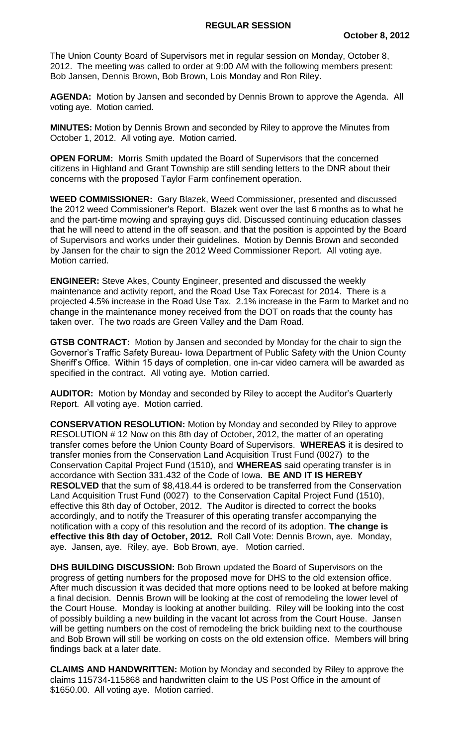The Union County Board of Supervisors met in regular session on Monday, October 8, 2012. The meeting was called to order at 9:00 AM with the following members present: Bob Jansen, Dennis Brown, Bob Brown, Lois Monday and Ron Riley.

**AGENDA:** Motion by Jansen and seconded by Dennis Brown to approve the Agenda. All voting aye. Motion carried.

**MINUTES:** Motion by Dennis Brown and seconded by Riley to approve the Minutes from October 1, 2012. All voting aye. Motion carried.

**OPEN FORUM:** Morris Smith updated the Board of Supervisors that the concerned citizens in Highland and Grant Township are still sending letters to the DNR about their concerns with the proposed Taylor Farm confinement operation.

**WEED COMMISSIONER:** Gary Blazek, Weed Commissioner, presented and discussed the 2012 weed Commissioner's Report. Blazek went over the last 6 months as to what he and the part-time mowing and spraying guys did. Discussed continuing education classes that he will need to attend in the off season, and that the position is appointed by the Board of Supervisors and works under their guidelines. Motion by Dennis Brown and seconded by Jansen for the chair to sign the 2012 Weed Commissioner Report. All voting aye. Motion carried.

**ENGINEER:** Steve Akes, County Engineer, presented and discussed the weekly maintenance and activity report, and the Road Use Tax Forecast for 2014. There is a projected 4.5% increase in the Road Use Tax. 2.1% increase in the Farm to Market and no change in the maintenance money received from the DOT on roads that the county has taken over. The two roads are Green Valley and the Dam Road.

**GTSB CONTRACT:** Motion by Jansen and seconded by Monday for the chair to sign the Governor's Traffic Safety Bureau- Iowa Department of Public Safety with the Union County Sheriff's Office. Within 15 days of completion, one in-car video camera will be awarded as specified in the contract. All voting aye. Motion carried.

**AUDITOR:** Motion by Monday and seconded by Riley to accept the Auditor's Quarterly Report. All voting aye. Motion carried.

**CONSERVATION RESOLUTION:** Motion by Monday and seconded by Riley to approve RESOLUTION # 12 Now on this 8th day of October, 2012, the matter of an operating transfer comes before the Union County Board of Supervisors. **WHEREAS** it is desired to transfer monies from the Conservation Land Acquisition Trust Fund (0027) to the Conservation Capital Project Fund (1510), and **WHEREAS** said operating transfer is in accordance with Section 331.432 of the Code of Iowa. **BE AND IT IS HEREBY RESOLVED** that the sum of \$8,418.44 is ordered to be transferred from the Conservation Land Acquisition Trust Fund (0027) to the Conservation Capital Project Fund (1510), effective this 8th day of October, 2012. The Auditor is directed to correct the books accordingly, and to notify the Treasurer of this operating transfer accompanying the notification with a copy of this resolution and the record of its adoption. **The change is effective this 8th day of October, 2012.** Roll Call Vote: Dennis Brown, aye. Monday, aye. Jansen, aye. Riley, aye. Bob Brown, aye. Motion carried.

**DHS BUILDING DISCUSSION:** Bob Brown updated the Board of Supervisors on the progress of getting numbers for the proposed move for DHS to the old extension office. After much discussion it was decided that more options need to be looked at before making a final decision. Dennis Brown will be looking at the cost of remodeling the lower level of the Court House. Monday is looking at another building. Riley will be looking into the cost of possibly building a new building in the vacant lot across from the Court House. Jansen will be getting numbers on the cost of remodeling the brick building next to the courthouse and Bob Brown will still be working on costs on the old extension office. Members will bring findings back at a later date.

**CLAIMS AND HANDWRITTEN:** Motion by Monday and seconded by Riley to approve the claims 115734-115868 and handwritten claim to the US Post Office in the amount of \$1650.00. All voting aye. Motion carried.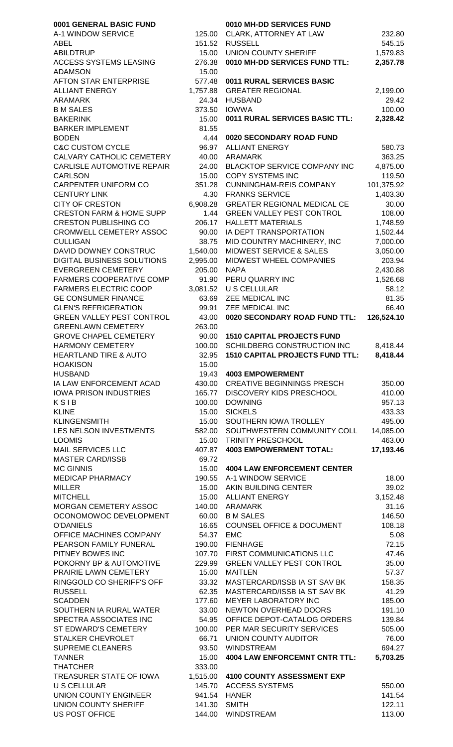| 0001 GENERAL BASIC FUND                              |                  | 0010 MH-DD SERVICES FUND               |                  |
|------------------------------------------------------|------------------|----------------------------------------|------------------|
| A-1 WINDOW SERVICE                                   | 125.00           | CLARK, ATTORNEY AT LAW                 | 232.80           |
| <b>ABEL</b>                                          | 151.52           | <b>RUSSELL</b>                         | 545.15           |
| <b>ABILDTRUP</b>                                     | 15.00            | <b>UNION COUNTY SHERIFF</b>            | 1,579.83         |
| ACCESS SYSTEMS LEASING                               | 276.38           | 0010 MH-DD SERVICES FUND TTL:          | 2,357.78         |
| <b>ADAMSON</b>                                       | 15.00            |                                        |                  |
| <b>AFTON STAR ENTERPRISE</b>                         | 577.48           | 0011 RURAL SERVICES BASIC              |                  |
| <b>ALLIANT ENERGY</b>                                | 1,757.88         | <b>GREATER REGIONAL</b>                | 2,199.00         |
| <b>ARAMARK</b>                                       | 24.34            | <b>HUSBAND</b>                         | 29.42            |
| <b>B M SALES</b>                                     | 373.50           | <b>IOWWA</b>                           | 100.00           |
| <b>BAKERINK</b>                                      | 15.00            | 0011 RURAL SERVICES BASIC TTL:         | 2,328.42         |
| <b>BARKER IMPLEMENT</b>                              | 81.55            |                                        |                  |
|                                                      |                  |                                        |                  |
| <b>BODEN</b>                                         | 4.44             | 0020 SECONDARY ROAD FUND               |                  |
| <b>C&amp;C CUSTOM CYCLE</b>                          | 96.97            | <b>ALLIANT ENERGY</b>                  | 580.73           |
| CALVARY CATHOLIC CEMETERY                            | 40.00            | <b>ARAMARK</b>                         | 363.25           |
| CARLISLE AUTOMOTIVE REPAIR                           | 24.00            | <b>BLACKTOP SERVICE COMPANY INC</b>    | 4,875.00         |
| <b>CARLSON</b>                                       | 15.00            | <b>COPY SYSTEMS INC</b>                | 119.50           |
| <b>CARPENTER UNIFORM CO</b>                          | 351.28           | <b>CUNNINGHAM-REIS COMPANY</b>         | 101,375.92       |
| <b>CENTURY LINK</b>                                  | 4.30             | <b>FRANKS SERVICE</b>                  | 1,403.30         |
| <b>CITY OF CRESTON</b>                               | 6,908.28         | <b>GREATER REGIONAL MEDICAL CE</b>     | 30.00            |
| <b>CRESTON FARM &amp; HOME SUPP</b>                  | 1.44             | <b>GREEN VALLEY PEST CONTROL</b>       | 108.00           |
| <b>CRESTON PUBLISHING CO</b>                         |                  |                                        |                  |
|                                                      | 206.17           | <b>HALLETT MATERIALS</b>               | 1,748.59         |
| CROMWELL CEMETERY ASSOC                              | 90.00            | IA DEPT TRANSPORTATION                 | 1,502.44         |
| <b>CULLIGAN</b>                                      | 38.75            | MID COUNTRY MACHINERY, INC             | 7,000.00         |
| DAVID DOWNEY CONSTRUC                                | 1,540.00         | <b>MIDWEST SERVICE &amp; SALES</b>     | 3,050.00         |
| DIGITAL BUSINESS SOLUTIONS                           | 2,995.00         | MIDWEST WHEEL COMPANIES                | 203.94           |
| <b>EVERGREEN CEMETERY</b>                            | 205.00           | <b>NAPA</b>                            | 2,430.88         |
| FARMERS COOPERATIVE COMP                             | 91.90            | PERU QUARRY INC                        | 1,526.68         |
| <b>FARMERS ELECTRIC COOP</b>                         | 3,081.52         | <b>U S CELLULAR</b>                    | 58.12            |
| <b>GE CONSUMER FINANCE</b>                           | 63.69            | ZEE MEDICAL INC                        | 81.35            |
|                                                      |                  |                                        |                  |
| <b>GLEN'S REFRIGERATION</b>                          | 99.91            | ZEE MEDICAL INC                        | 66.40            |
| <b>GREEN VALLEY PEST CONTROL</b>                     | 43.00            | 0020 SECONDARY ROAD FUND TTL:          | 126,524.10       |
| <b>GREENLAWN CEMETERY</b>                            | 263.00           |                                        |                  |
| <b>GROVE CHAPEL CEMETERY</b>                         | 90.00            | <b>1510 CAPITAL PROJECTS FUND</b>      |                  |
| <b>HARMONY CEMETERY</b>                              | 100.00           | SCHILDBERG CONSTRUCTION INC            | 8,418.44         |
| <b>HEARTLAND TIRE &amp; AUTO</b>                     | 32.95            | <b>1510 CAPITAL PROJECTS FUND TTL:</b> | 8,418.44         |
| <b>HOAKISON</b>                                      | 15.00            |                                        |                  |
| <b>HUSBAND</b>                                       | 19.43            | <b>4003 EMPOWERMENT</b>                |                  |
|                                                      |                  |                                        |                  |
|                                                      |                  |                                        |                  |
| IA LAW ENFORCEMENT ACAD                              | 430.00           | <b>CREATIVE BEGINNINGS PRESCH</b>      | 350.00           |
| <b>IOWA PRISON INDUSTRIES</b>                        | 165.77           | DISCOVERY KIDS PRESCHOOL               | 410.00           |
| KSIB                                                 | 100.00           | <b>DOWNING</b>                         | 957.13           |
| <b>KLINE</b>                                         | 15.00            | <b>SICKELS</b>                         | 433.33           |
| <b>KLINGENSMITH</b>                                  | 15.00            | SOUTHERN IOWA TROLLEY                  | 495.00           |
| LES NELSON INVESTMENTS                               | 582.00           | SOUTHWESTERN COMMUNITY COLL            | 14,085.00        |
| <b>LOOMIS</b>                                        | 15.00            | <b>TRINITY PRESCHOOL</b>               | 463.00           |
| <b>MAIL SERVICES LLC</b>                             | 407.87           | <b>4003 EMPOWERMENT TOTAL:</b>         | 17,193.46        |
| <b>MASTER CARD/ISSB</b>                              | 69.72            |                                        |                  |
|                                                      |                  |                                        |                  |
| <b>MC GINNIS</b>                                     | 15.00            | <b>4004 LAW ENFORCEMENT CENTER</b>     |                  |
| <b>MEDICAP PHARMACY</b>                              | 190.55           | A-1 WINDOW SERVICE                     | 18.00            |
| <b>MILLER</b>                                        | 15.00            | AKIN BUILDING CENTER                   | 39.02            |
| <b>MITCHELL</b>                                      | 15.00            | <b>ALLIANT ENERGY</b>                  | 3,152.48         |
| MORGAN CEMETERY ASSOC                                | 140.00           | <b>ARAMARK</b>                         | 31.16            |
| OCONOMOWOC DEVELOPMENT                               | 60.00            | <b>B M SALES</b>                       | 146.50           |
| <b>O'DANIELS</b>                                     | 16.65            | <b>COUNSEL OFFICE &amp; DOCUMENT</b>   | 108.18           |
| OFFICE MACHINES COMPANY                              | 54.37            | <b>EMC</b>                             | 5.08             |
| PEARSON FAMILY FUNERAL                               | 190.00           | <b>FIENHAGE</b>                        | 72.15            |
| PITNEY BOWES INC                                     | 107.70           | FIRST COMMUNICATIONS LLC               | 47.46            |
| POKORNY BP & AUTOMOTIVE                              | 229.99           | <b>GREEN VALLEY PEST CONTROL</b>       | 35.00            |
|                                                      |                  |                                        |                  |
| PRAIRIE LAWN CEMETERY                                | 15.00            | <b>MAITLEN</b>                         | 57.37            |
| RINGGOLD CO SHERIFF'S OFF                            | 33.32            | MASTERCARD/ISSB IA ST SAV BK           | 158.35           |
| <b>RUSSELL</b>                                       | 62.35            | MASTERCARD/ISSB IA ST SAV BK           | 41.29            |
| <b>SCADDEN</b>                                       | 177.60           | <b>MEYER LABORATORY INC</b>            | 185.00           |
| SOUTHERN IA RURAL WATER                              | 33.00            | NEWTON OVERHEAD DOORS                  | 191.10           |
| SPECTRA ASSOCIATES INC                               | 54.95            | OFFICE DEPOT-CATALOG ORDERS            | 139.84           |
| <b>ST EDWARD'S CEMETERY</b>                          | 100.00           | PER MAR SECURITY SERVICES              | 505.00           |
| STALKER CHEVROLET                                    | 66.71            | UNION COUNTY AUDITOR                   | 76.00            |
| <b>SUPREME CLEANERS</b>                              | 93.50            | <b>WINDSTREAM</b>                      | 694.27           |
| <b>TANNER</b>                                        | 15.00            | <b>4004 LAW ENFORCEMNT CNTR TTL:</b>   | 5,703.25         |
| <b>THATCHER</b>                                      | 333.00           |                                        |                  |
| <b>TREASURER STATE OF IOWA</b>                       |                  |                                        |                  |
| U S CELLULAR                                         |                  | 1,515.00 4100 COUNTY ASSESSMENT EXP    |                  |
|                                                      |                  | 145.70 ACCESS SYSTEMS                  | 550.00           |
| UNION COUNTY ENGINEER                                |                  | 941.54 HANER                           | 141.54           |
| <b>UNION COUNTY SHERIFF</b><br><b>US POST OFFICE</b> | 141.30<br>144.00 | <b>SMITH</b><br><b>WINDSTREAM</b>      | 122.11<br>113.00 |